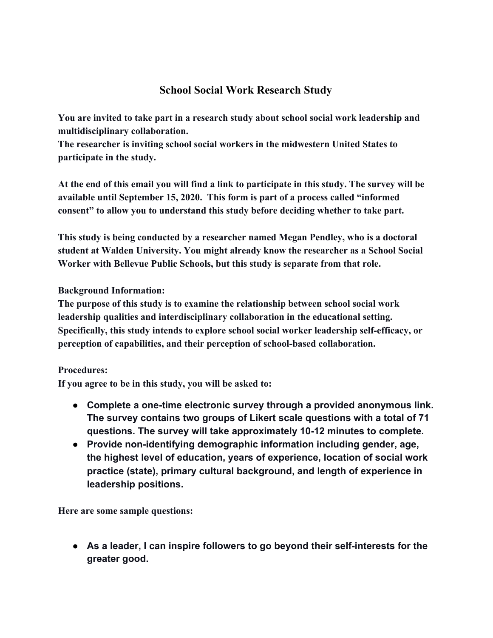## **School Social Work Research Study**

**You are invited to take part in a research study about school social work leadership and multidisciplinary collaboration.**

**The researcher is inviting school social workers in the midwestern United States to participate in the study.**

**At the end of this email you will find a link to participate in this study. The survey will be available until September 15, 2020. This form is part of a process called "informed consent" to allow you to understand this study before deciding whether to take part.**

**This study is being conducted by a researcher named Megan Pendley, who is a doctoral student at Walden University. You might already know the researcher as a School Social Worker with Bellevue Public Schools, but this study is separate from that role.**

**Background Information:**

**The purpose of this study is to examine the relationship between school social work leadership qualities and interdisciplinary collaboration in the educational setting. Specifically, this study intends to explore school social worker leadership self-efficacy, or perception of capabilities, and their perception of school-based collaboration.**

## **Procedures:**

**If you agree to be in this study, you will be asked to:**

- **● Complete a one-time electronic survey through a provided anonymous link. The survey contains two groups of Likert scale questions with a total of 71 questions. The survey will take approximately 10-12 minutes to complete.**
- **● Provide non-identifying demographic information including gender, age, the highest level of education, years of experience, location of social work practice (state), primary cultural background, and length of experience in leadership positions.**

**Here are some sample questions:**

**● As a leader, I can inspire followers to go beyond their self-interests for the greater good.**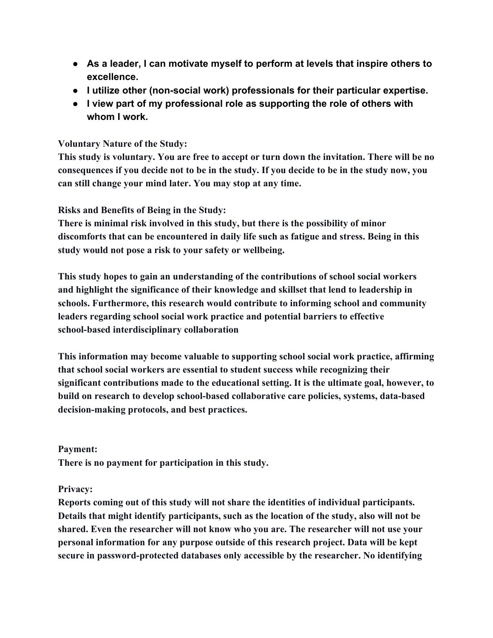- **● As a leader, I can motivate myself to perform at levels that inspire others to excellence.**
- **● I utilize other (non-social work) professionals for their particular expertise.**
- **● I view part of my professional role as supporting the role of others with whom I work.**

## **Voluntary Nature of the Study:**

**This study is voluntary. You are free to accept or turn down the invitation. There will be no consequences if you decide not to be in the study. If you decide to be in the study now, you can still change your mind later. You may stop at any time.**

**Risks and Benefits of Being in the Study:**

**There is minimal risk involved in this study, but there is the possibility of minor discomforts that can be encountered in daily life such as fatigue and stress. Being in this study would not pose a risk to your safety or wellbeing.**

**This study hopes to gain an understanding of the contributions of school social workers and highlight the significance of their knowledge and skillset that lend to leadership in schools. Furthermore, this research would contribute to informing school and community leaders regarding school social work practice and potential barriers to effective school-based interdisciplinary collaboration**

**This information may become valuable to supporting school social work practice, affirming that school social workers are essential to student success while recognizing their significant contributions made to the educational setting. It is the ultimate goal, however, to build on research to develop school-based collaborative care policies, systems, data-based decision-making protocols, and best practices.**

**Payment:**

**There is no payment for participation in this study.**

## **Privacy:**

**Reports coming out of this study will not share the identities of individual participants. Details that might identify participants, such as the location of the study, also will not be shared. Even the researcher will not know who you are. The researcher will not use your personal information for any purpose outside of this research project. Data will be kept secure in password-protected databases only accessible by the researcher. No identifying**